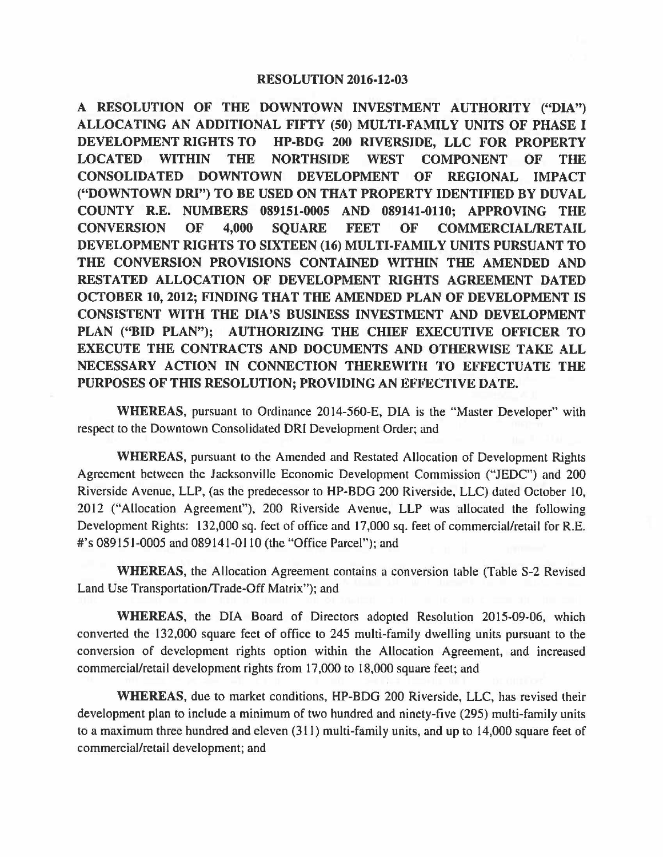**A RESOLUTION OF THE DOWNTOWN INVESTMENT AUTHORITY ("DIA") ALLOCATING AN ADDITIONAL FIFTY (50) MULTI-FAMILY UNITS OF PHASE** I **DEVELOPMENT RIGHTS TO HP-BOG 200 RIVERSIDE, LLC FOR PROPERTY LOCATED WITHIN THE NORTHSIDE WEST COMPONENT OF THE CONSOLIDATED DOWNTOWN DEVELOPMENT OF REGIONAL IMPACT ("DOWNTOWN DRI") TO BE USED ON THAT PROPERTY IDENTIFIED BY DUVAL COUNTY R.E. NUMBERS 089151-0005 AND 089141-0110; APPROVING THE CONVERSION OF 4,000 SQUARE** FEET **OF COMMERCIAL/RETAIL DEVELOPMENT RIGHTS TO SIXTEEN (16) MULTI-FAMILY UNITS PURSUANT TO THE CONVERSION PROVISIONS CONTAINED WITHIN THE AMENDED AND RESTATED ALLOCATION OF DEVELOPMENT RIGHTS AGREEMENT DATED OCTOBER 10, 2012; FINDING THAT THE AMENDED PLAN OF DEVELOPMENT IS CONSISTENT WITH THE DIA'S BUSINESS INVESTMENT AND DEVELOPMENT PLAN ("BID PLAN"); AUTHORIZING THE CHIEF EXECUTIVE OFFICER TO EXECUTE THE CONTRACTS AND DOCUMENTS AND OTHERWISE TAKE ALL NECESSARY ACTION IN CONNECTION THEREWITH TO EFFECTUATE THE PURPOSES OF THIS RESOLUTION; PROVIDING AN EFFECTIVE DATE.** 

**WHEREAS,** pursuant to Ordinance 2014-560-E, DIA is the "Master Developer" with respect to the Downtown Consolidated ORI Development Order; and

**WHEREAS,** pursuant to the Amended and Restated Allocation of Development Rights Agreement between the Jacksonville Economic Development Commission ("JEDC") and 200 Riverside Avenue, LLP, (as the predecessor to HP-BOG 200 Riverside, LLC) dated October 10, 2012 ("Allocation Agreement"), 200 Riverside Avenue, LLP was allocated the following Development Rights: 132,000 sq. feet of office and 17,000 sq. feet of commercial/retail for R.E. #'s 089151-0005 and 089141-0110 (the "Office Parcel"); and

**WHEREAS,** the Allocation Agreement contains a conversion table (Table S-2 Revised Land Use Transportation/Trade-Off Matrix"); and

**WHEREAS,** the DIA Board of Directors adopted Resolution 2015-09-06, which converted the 132,000 square feet of office to 245 multi-family dwelling units pursuant to the conversion of development rights option within the Allocation Agreement, and increased commercial/retail development rights from 17,000 to 18,000 square feet; and

**WHEREAS,** due to market conditions, HP-BOG 200 Riverside, LLC, has revised their development plan to include a minimum of two hundred and ninety-five (295) multi-family units to a maximum three hundred and eleven (311) multi-family units, and up to 14,000 square feet of commercial/retail development; and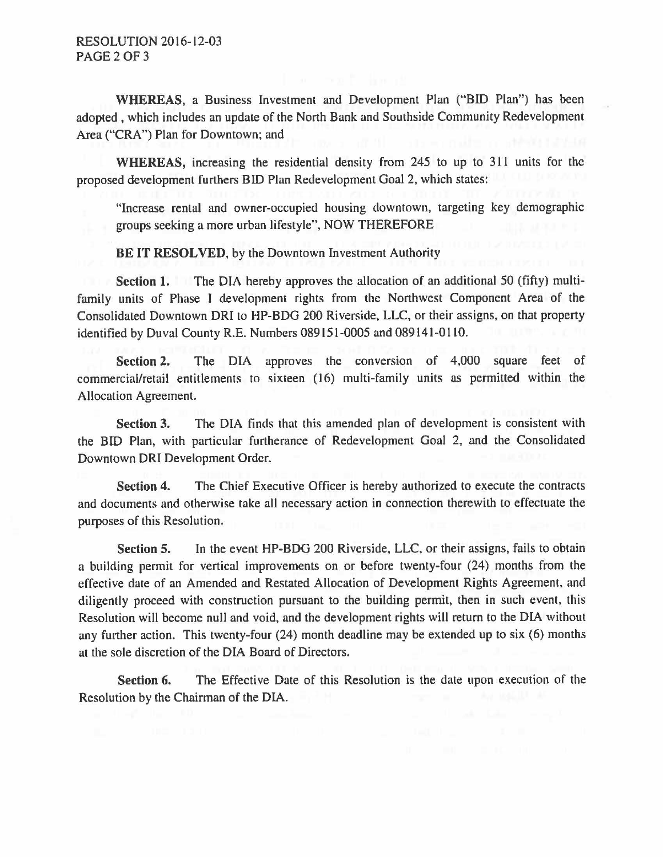**WHEREAS,** a Business Investment and Development Plan ("BID Plan") has been adopted , which includes an update of the North Bank and Southside Community Redevelopment Area ("CRA") Plan for Downtown; and

**WHEREAS,** increasing the residential density from 245 to up to 311 units for the proposed development furthers BID Plan Redevelopment Goal 2, which states:

"Increase rental and owner-occupied housing downtown, targeting key demographic groups seeking a more urban lifestyle", NOW THEREFORE

**BE IT RESOLVED,** by the Downtown Investment Authority

**Section 1.** The DIA hereby approves the allocation of an additional 50 (fifty) multifamily units of Phase I development rights from the Northwest Component Area of the Consolidated Downtown ORI to HP-BOG 200 Riverside, LLC, or their assigns, on that property identified by Duval County R.E. Numbers 089I51-0005 and 089141-0110.

**Section 2.** The DIA approves the conversion of 4,000 square feet of commercial/retail entitlements to sixteen ( 16) multi-family units as permitted within the Allocation Agreement.

**Section 3.** The DIA finds that this amended plan of development is consistent with the BID Plan, with particular furtherance of Redevelopment Goal 2, and the Consolidated Downtown ORI Development Order.

**Section 4.** The Chief Executive Officer is hereby authorized to execute the contracts and documents and otherwise take all necessary action in connection therewith to effectuate the purposes of this Resolution.

**Section 5.** In the event HP-BOG 200 Riverside, LLC, or their assigns, fails to obtain a building permit for vertical improvements on or before twenty-four (24) months from the effective date of an Amended and Restated Allocation of Development Rights Agreement, and diligently proceed with construction pursuant to the building permit, then in such event, this Resolution will become null and void, and the development rights will return to the DIA without any further action. This twenty-four (24) month deadline may be extended up to six (6) months at the sole discretion of the DIA Board of Directors.

**Section 6.** The Effective Date of this Resolution is the date upon execution of the Resolution by the Chairman of the DIA.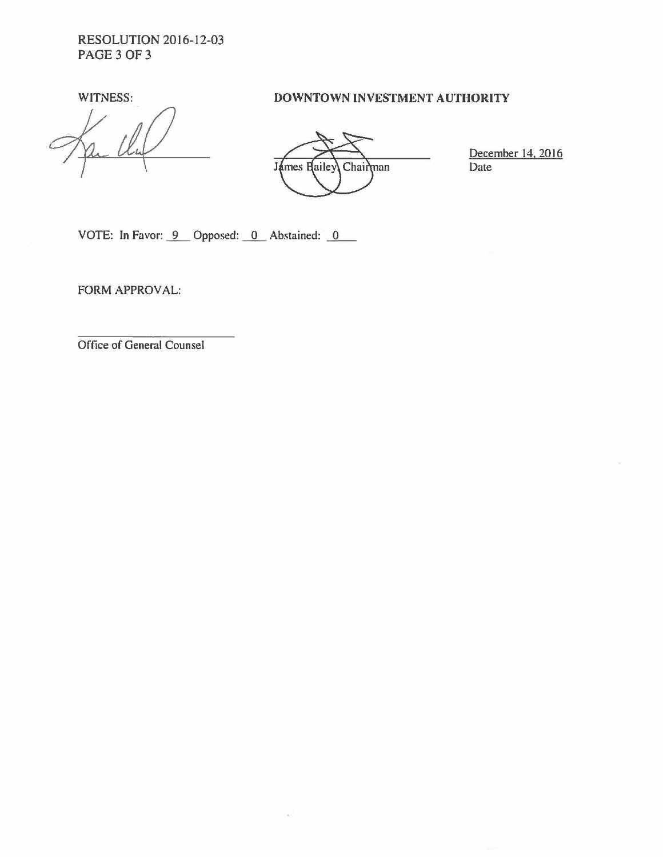RESOLUTION 2016-12-03 PAGE 3 OF 3

## WITNESS: **DOWNTOWN INVESTMENT AUTHORITY**

James Hailey Chairman

December 14, 2016 Date

VOTE: In Favor:  $9$  Opposed: 0 Abstained: 0

FORM APPROVAL:

Office of General Counsel